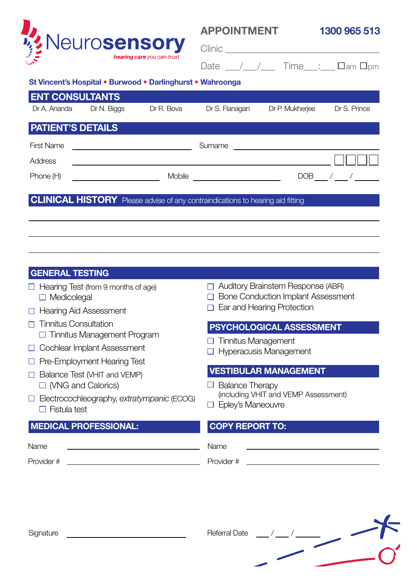

## **APPOINTMENT**

**1300 965 513**

| н. |  | 'nm<br>Im |
|----|--|-----------|

## **St Vincent's Hospital • Burwood • Darlinghurst • Wahroonga**

|                                                                                       | <b>ENT CONSULTANTS</b> |            |                |                 |              |  |  |  |  |
|---------------------------------------------------------------------------------------|------------------------|------------|----------------|-----------------|--------------|--|--|--|--|
| Dr A. Ananda                                                                          | Dr N. Biggs            | Dr R. Bova | Dr S. Flanagan | Dr P. Mukherjee | Dr S. Prince |  |  |  |  |
| <b>PATIENT'S DETAILS</b>                                                              |                        |            |                |                 |              |  |  |  |  |
| <b>First Name</b>                                                                     |                        |            | Surname        |                 |              |  |  |  |  |
| <b>Address</b>                                                                        |                        |            |                |                 |              |  |  |  |  |
| Phone (H)                                                                             |                        | Mobile     | DOB            |                 |              |  |  |  |  |
| <b>CLINICAL HISTORY</b> Please advise of any contraindications to hearing aid fitting |                        |            |                |                 |              |  |  |  |  |
|                                                                                       |                        |            |                |                 |              |  |  |  |  |

### **GENERAL TESTING**

- $\Box$  Hearing Test (from 9 months of age) □ Medicolegal
- □ Hearing Aid Assessment
- $\Box$  Tinnitus Consultation □ Tinnitus Management Program
- □ Cochlear Implant Assessment
- □ Pre-Employment Hearing Test
- $\Box$  Balance Test (VHIT and VEMP) □ (VNG and Calorics)
- Electrocochleography, *extratympanic* (ECOG)  $\Box$  Fistula test

## **MEDICAL PROFESSIONAL: COPY REPORT TO:**

□ Bone Conduction Implant Assessment Ear and Hearing Protection

□ Auditory Brainstem Response (ABR)

## **PSYCHOLOGICAL ASSESSMENT**

- $\Box$  Tinnitus Management
- □ Hyperacusis Management

## **VESTIBULAR MANAGEMENT**

- $\Box$  Balance Therapy (including VHIT and VEMP Assessment)
- □ Eplev's Maneouvre

Name Name

Provider # Provider # Provider #



Signature